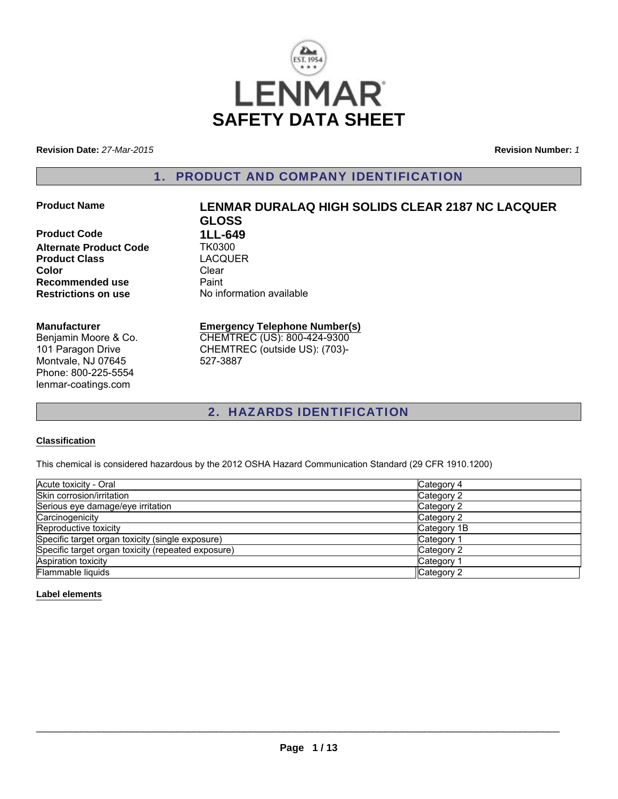

**Revision Date:** *27-Mar-2015*

**Revision Number:** *1*

# 1. PRODUCT AND COMPANY IDENTIFICATION

**Product Code 1LL-649**<br>**Alternate Product Code 1K0300 Alternate Product Code Product Class** LACQUER **Color** Clear **Recommended use** Paint<br> **Restrictions on use** No inf

# **Product Name LENMAR DURALAQ HIGH SOLIDS CLEAR 2187 NC LACQUER GLOSS**

**Manufacturer** Benjamin Moore & Co.

101 Paragon Drive Montvale, NJ 07645 Phone: 800-225-5554 lenmar-coatings.com

#### **Emergency Telephone Number(s)** CHEMTREC (US): 800-424-9300

CHEMTREC (outside US): (703)- 527-3887

**No information available** 

# 2. HAZARDS IDENTIFICATION

#### **Classification**

This chemical is considered hazardous by the 2012 OSHA Hazard Communication Standard (29 CFR 1910.1200)

| Acute toxicity - Oral                              | Category 4  |
|----------------------------------------------------|-------------|
| Skin corrosion/irritation                          | Category 2  |
| Serious eye damage/eye irritation                  | Category 2  |
| Carcinogenicity                                    | Category 2  |
| Reproductive toxicity                              | Category 1B |
| Specific target organ toxicity (single exposure)   | Category 1  |
| Specific target organ toxicity (repeated exposure) | Category 2  |
| <b>Aspiration toxicity</b>                         | Category 1  |
| Flammable liquids                                  | Category 2  |

#### **Label elements**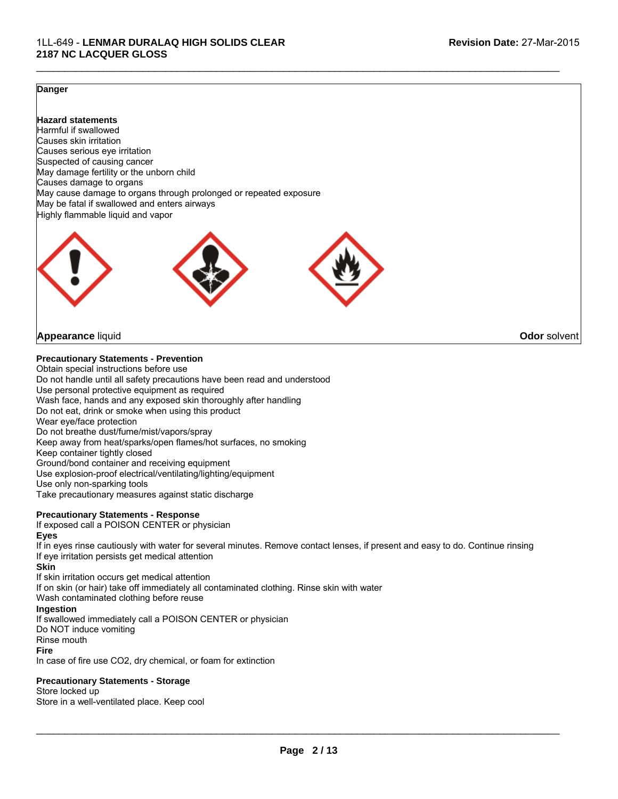#### **Danger**

**Hazard statements** Harmful if swallowed Causes skin irritation Causes serious eye irritation Suspected of causing cancer May damage fertility or the unborn child Causes damage to organs May cause damage to organs through prolonged or repeated exposure May be fatal if swallowed and enters airways Highly flammable liquid and vapor



## **Appearance** liquid **Odor** solvent

#### **Precautionary Statements - Prevention**

Obtain special instructions before use Do not handle until all safety precautions have been read and understood Use personal protective equipment as required Wash face, hands and any exposed skin thoroughly after handling Do not eat, drink or smoke when using this product Wear eye/face protection Do not breathe dust/fume/mist/vapors/spray Keep away from heat/sparks/open flames/hot surfaces, no smoking Keep container tightly closed Ground/bond container and receiving equipment Use explosion-proof electrical/ventilating/lighting/equipment Use only non-sparking tools Take precautionary measures against static discharge

#### **Precautionary Statements - Response**

If exposed call a POISON CENTER or physician

#### **Eyes**

If in eyes rinse cautiously with water for several minutes. Remove contact lenses, if present and easy to do. Continue rinsing If eye irritation persists get medical attention

 $\mathcal{L}_\mathcal{L} = \{ \mathcal{L}_\mathcal{L} = \{ \mathcal{L}_\mathcal{L} = \{ \mathcal{L}_\mathcal{L} = \{ \mathcal{L}_\mathcal{L} = \{ \mathcal{L}_\mathcal{L} = \{ \mathcal{L}_\mathcal{L} = \{ \mathcal{L}_\mathcal{L} = \{ \mathcal{L}_\mathcal{L} = \{ \mathcal{L}_\mathcal{L} = \{ \mathcal{L}_\mathcal{L} = \{ \mathcal{L}_\mathcal{L} = \{ \mathcal{L}_\mathcal{L} = \{ \mathcal{L}_\mathcal{L} = \{ \mathcal{L}_\mathcal{$ 

#### **Skin**

If skin irritation occurs get medical attention If on skin (or hair) take off immediately all contaminated clothing. Rinse skin with water Wash contaminated clothing before reuse **Ingestion** If swallowed immediately call a POISON CENTER or physician Do NOT induce vomiting Rinse mouth **Fire**

In case of fire use CO2, dry chemical, or foam for extinction

#### **Precautionary Statements - Storage**

Store locked up

Store in a well-ventilated place. Keep cool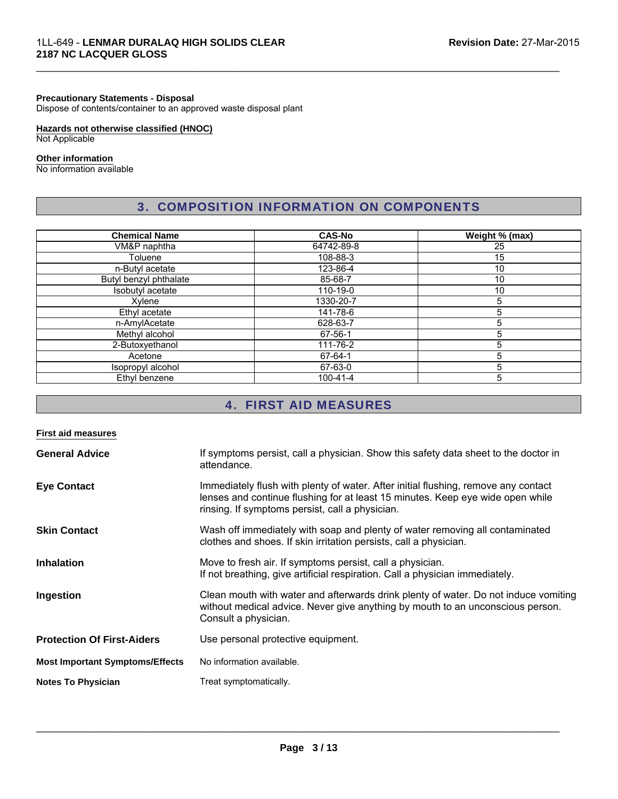#### **Precautionary Statements - Disposal**

Dispose of contents/container to an approved waste disposal plant

# **Hazards not otherwise classified (HNOC)**

Not Applicable

#### **Other information**

No information available

# 3. COMPOSITION INFORMATION ON COMPONENTS

 $\mathcal{L}_\mathcal{L} = \{ \mathcal{L}_\mathcal{L} = \{ \mathcal{L}_\mathcal{L} = \{ \mathcal{L}_\mathcal{L} = \{ \mathcal{L}_\mathcal{L} = \{ \mathcal{L}_\mathcal{L} = \{ \mathcal{L}_\mathcal{L} = \{ \mathcal{L}_\mathcal{L} = \{ \mathcal{L}_\mathcal{L} = \{ \mathcal{L}_\mathcal{L} = \{ \mathcal{L}_\mathcal{L} = \{ \mathcal{L}_\mathcal{L} = \{ \mathcal{L}_\mathcal{L} = \{ \mathcal{L}_\mathcal{L} = \{ \mathcal{L}_\mathcal{$ 

| <b>Chemical Name</b>   | <b>CAS-No</b>  | Weight % (max) |
|------------------------|----------------|----------------|
| VM&P naphtha           | 64742-89-8     | 25             |
| Toluene                | 108-88-3       | 15             |
| n-Butyl acetate        | 123-86-4       | 10             |
| Butyl benzyl phthalate | 85-68-7        | 10             |
| Isobutyl acetate       | 110-19-0       | 10             |
| Xylene                 | 1330-20-7      | 5              |
| Ethyl acetate          | 141-78-6       | 5              |
| n-AmylAcetate          | 628-63-7       | 5              |
| Methyl alcohol         | 67-56-1        | 5              |
| 2-Butoxyethanol        | 111-76-2       | 5              |
| Acetone                | 67-64-1        | 5              |
| Isopropyl alcohol      | 67-63-0        | 5              |
| Ethyl benzene          | $100 - 41 - 4$ | 5              |

# 4. FIRST AID MEASURES

| <b>First aid measures</b>              |                                                                                                                                                                                                                         |
|----------------------------------------|-------------------------------------------------------------------------------------------------------------------------------------------------------------------------------------------------------------------------|
| <b>General Advice</b>                  | If symptoms persist, call a physician. Show this safety data sheet to the doctor in<br>attendance.                                                                                                                      |
| <b>Eye Contact</b>                     | Immediately flush with plenty of water. After initial flushing, remove any contact<br>lenses and continue flushing for at least 15 minutes. Keep eye wide open while<br>rinsing. If symptoms persist, call a physician. |
| <b>Skin Contact</b>                    | Wash off immediately with soap and plenty of water removing all contaminated<br>clothes and shoes. If skin irritation persists, call a physician.                                                                       |
| <b>Inhalation</b>                      | Move to fresh air. If symptoms persist, call a physician.<br>If not breathing, give artificial respiration. Call a physician immediately.                                                                               |
| Ingestion                              | Clean mouth with water and afterwards drink plenty of water. Do not induce vomiting<br>without medical advice. Never give anything by mouth to an unconscious person.<br>Consult a physician.                           |
| <b>Protection Of First-Aiders</b>      | Use personal protective equipment.                                                                                                                                                                                      |
| <b>Most Important Symptoms/Effects</b> | No information available.                                                                                                                                                                                               |
| <b>Notes To Physician</b>              | Treat symptomatically.                                                                                                                                                                                                  |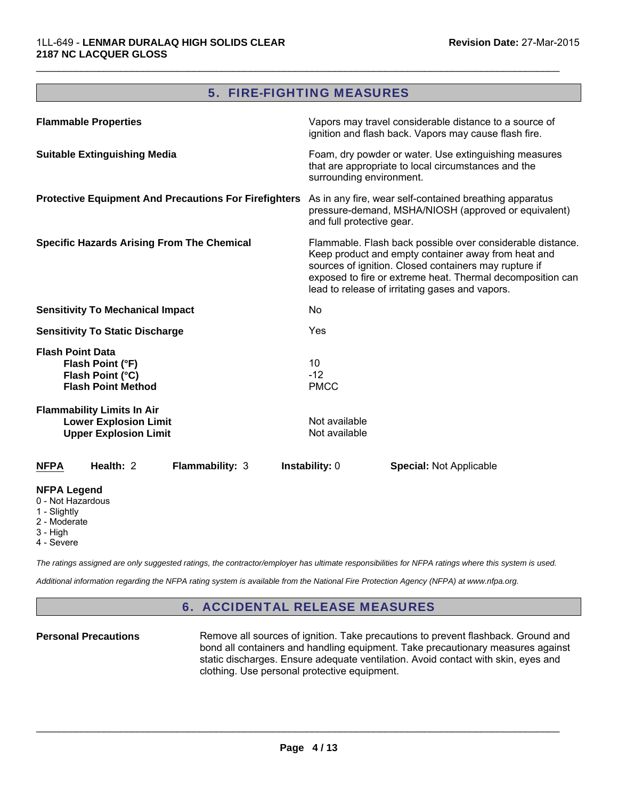# 5. FIRE-FIGHTING MEASURES

 $\mathcal{L}_\mathcal{L} = \{ \mathcal{L}_\mathcal{L} = \{ \mathcal{L}_\mathcal{L} = \{ \mathcal{L}_\mathcal{L} = \{ \mathcal{L}_\mathcal{L} = \{ \mathcal{L}_\mathcal{L} = \{ \mathcal{L}_\mathcal{L} = \{ \mathcal{L}_\mathcal{L} = \{ \mathcal{L}_\mathcal{L} = \{ \mathcal{L}_\mathcal{L} = \{ \mathcal{L}_\mathcal{L} = \{ \mathcal{L}_\mathcal{L} = \{ \mathcal{L}_\mathcal{L} = \{ \mathcal{L}_\mathcal{L} = \{ \mathcal{L}_\mathcal{$ 

| <b>Flammable Properties</b>                                                                                                       | Vapors may travel considerable distance to a source of<br>ignition and flash back. Vapors may cause flash fire.                                                                                                                                                                             |
|-----------------------------------------------------------------------------------------------------------------------------------|---------------------------------------------------------------------------------------------------------------------------------------------------------------------------------------------------------------------------------------------------------------------------------------------|
| <b>Suitable Extinguishing Media</b>                                                                                               | Foam, dry powder or water. Use extinguishing measures<br>that are appropriate to local circumstances and the<br>surrounding environment.                                                                                                                                                    |
| Protective Equipment And Precautions For Firefighters As in any fire, wear self-contained breathing apparatus                     | pressure-demand, MSHA/NIOSH (approved or equivalent)<br>and full protective gear.                                                                                                                                                                                                           |
| <b>Specific Hazards Arising From The Chemical</b>                                                                                 | Flammable. Flash back possible over considerable distance.<br>Keep product and empty container away from heat and<br>sources of ignition. Closed containers may rupture if<br>exposed to fire or extreme heat. Thermal decomposition can<br>lead to release of irritating gases and vapors. |
| <b>Sensitivity To Mechanical Impact</b>                                                                                           | <b>No</b>                                                                                                                                                                                                                                                                                   |
| <b>Sensitivity To Static Discharge</b>                                                                                            | Yes                                                                                                                                                                                                                                                                                         |
| <b>Flash Point Data</b><br>Flash Point (°F)<br>Flash Point (°C)<br><b>Flash Point Method</b><br><b>Flammability Limits In Air</b> | 10<br>$-12$<br><b>PMCC</b>                                                                                                                                                                                                                                                                  |
| <b>Lower Explosion Limit</b><br><b>Upper Explosion Limit</b>                                                                      | Not available<br>Not available                                                                                                                                                                                                                                                              |
| Health: 2<br>Flammability: 3<br><b>NFPA</b>                                                                                       | Instability: 0<br><b>Special: Not Applicable</b>                                                                                                                                                                                                                                            |
| <b>NFPA Legend</b><br>0 - Not Hazardous<br>1 - Slightly<br>2 - Moderate<br>3 - High                                               |                                                                                                                                                                                                                                                                                             |

4 - Severe

*The ratings assigned are only suggested ratings, the contractor/employer has ultimate responsibilities for NFPA ratings where this system is used.*

*Additional information regarding the NFPA rating system is available from the National Fire Protection Agency (NFPA) at www.nfpa.org.*

# 6. ACCIDENTAL RELEASE MEASURES

**Personal Precautions** Remove all sources of ignition. Take precautions to prevent flashback. Ground and bond all containers and handling equipment. Take precautionary measures against static discharges. Ensure adequate ventilation. Avoid contact with skin, eyes and clothing. Use personal protective equipment.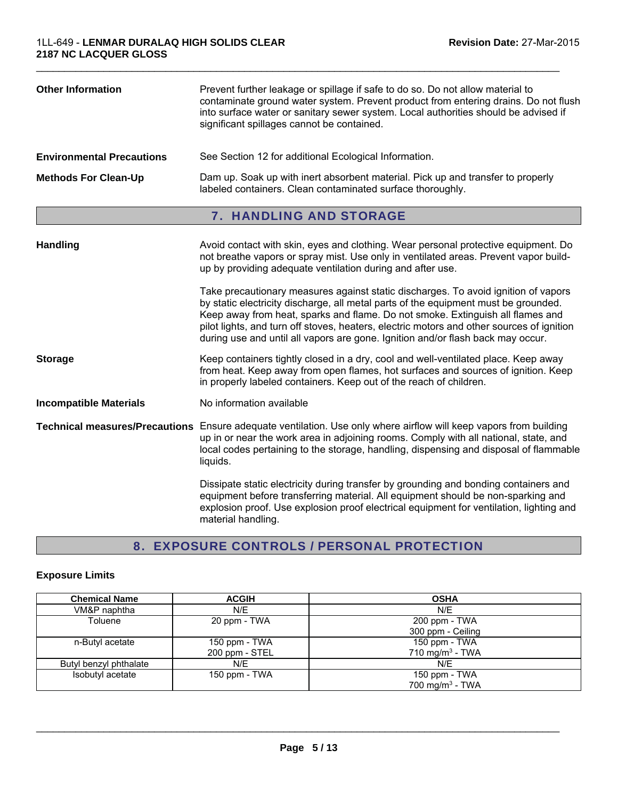| <b>Other Information</b>         | Prevent further leakage or spillage if safe to do so. Do not allow material to<br>contaminate ground water system. Prevent product from entering drains. Do not flush<br>into surface water or sanitary sewer system. Local authorities should be advised if<br>significant spillages cannot be contained.                                                                                                                                                                                                                                                                                                                                                                              |
|----------------------------------|-----------------------------------------------------------------------------------------------------------------------------------------------------------------------------------------------------------------------------------------------------------------------------------------------------------------------------------------------------------------------------------------------------------------------------------------------------------------------------------------------------------------------------------------------------------------------------------------------------------------------------------------------------------------------------------------|
| <b>Environmental Precautions</b> | See Section 12 for additional Ecological Information.                                                                                                                                                                                                                                                                                                                                                                                                                                                                                                                                                                                                                                   |
| <b>Methods For Clean-Up</b>      | Dam up. Soak up with inert absorbent material. Pick up and transfer to properly<br>labeled containers. Clean contaminated surface thoroughly.                                                                                                                                                                                                                                                                                                                                                                                                                                                                                                                                           |
|                                  | 7. HANDLING AND STORAGE                                                                                                                                                                                                                                                                                                                                                                                                                                                                                                                                                                                                                                                                 |
| Handling                         | Avoid contact with skin, eyes and clothing. Wear personal protective equipment. Do<br>not breathe vapors or spray mist. Use only in ventilated areas. Prevent vapor build-<br>up by providing adequate ventilation during and after use.<br>Take precautionary measures against static discharges. To avoid ignition of vapors<br>by static electricity discharge, all metal parts of the equipment must be grounded.<br>Keep away from heat, sparks and flame. Do not smoke. Extinguish all flames and<br>pilot lights, and turn off stoves, heaters, electric motors and other sources of ignition<br>during use and until all vapors are gone. Ignition and/or flash back may occur. |
| <b>Storage</b>                   | Keep containers tightly closed in a dry, cool and well-ventilated place. Keep away<br>from heat. Keep away from open flames, hot surfaces and sources of ignition. Keep<br>in properly labeled containers. Keep out of the reach of children.                                                                                                                                                                                                                                                                                                                                                                                                                                           |
| <b>Incompatible Materials</b>    | No information available                                                                                                                                                                                                                                                                                                                                                                                                                                                                                                                                                                                                                                                                |
|                                  | Technical measures/Precautions Ensure adequate ventilation. Use only where airflow will keep vapors from building                                                                                                                                                                                                                                                                                                                                                                                                                                                                                                                                                                       |

up in or near the work area in adjoining rooms. Comply with all national, state, and local codes pertaining to the storage, handling, dispensing and disposal of flammable liquids.

> Dissipate static electricity during transfer by grounding and bonding containers and equipment before transferring material. All equipment should be non-sparking and explosion proof. Use explosion proof electrical equipment for ventilation, lighting and material handling.

# 8. EXPOSURE CONTROLS / PERSONAL PROTECTION

#### **Exposure Limits**

| <b>Chemical Name</b>   | <b>ACGIH</b>   | <b>OSHA</b>                 |
|------------------------|----------------|-----------------------------|
| VM&P naphtha           | N/E            | N/E                         |
| Toluene                | 20 ppm - TWA   | 200 ppm - TWA               |
|                        |                | 300 ppm - Ceiling           |
| n-Butyl acetate        | 150 ppm - TWA  | 150 ppm - TWA               |
|                        | 200 ppm - STEL | 710 mg/m <sup>3</sup> - TWA |
| Butyl benzyl phthalate | N/E            | N/E                         |
| Isobutyl acetate       | 150 ppm - TWA  | 150 ppm - TWA               |
|                        |                | 700 mg/m <sup>3</sup> - TWA |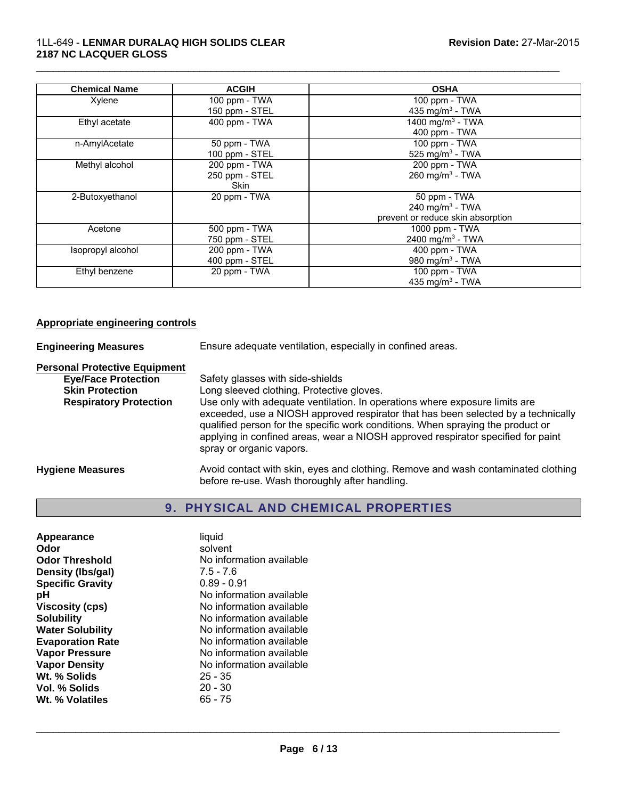| <b>Chemical Name</b> | <b>ACGIH</b>   | <b>OSHA</b>                       |
|----------------------|----------------|-----------------------------------|
| Xylene               | 100 ppm - TWA  | $100$ ppm $-$ TWA                 |
|                      | 150 ppm - STEL | 435 mg/m <sup>3</sup> - TWA       |
| Ethyl acetate        | 400 ppm - TWA  | 1400 mg/m <sup>3</sup> - TWA      |
|                      |                | 400 ppm - TWA                     |
| n-AmylAcetate        | 50 ppm - TWA   | 100 ppm - TWA                     |
|                      | 100 ppm - STEL | 525 mg/m <sup>3</sup> - TWA       |
| Methyl alcohol       | 200 ppm - TWA  | 200 ppm - TWA                     |
|                      | 250 ppm - STEL | 260 mg/m $3$ - TWA                |
|                      | <b>Skin</b>    |                                   |
| 2-Butoxyethanol      | 20 ppm - TWA   | 50 ppm - TWA                      |
|                      |                | 240 mg/m $3$ - TWA                |
|                      |                | prevent or reduce skin absorption |
| Acetone              | 500 ppm - TWA  | 1000 ppm - TWA                    |
|                      | 750 ppm - STEL | 2400 mg/m <sup>3</sup> - TWA      |
| Isopropyl alcohol    | 200 ppm - TWA  | 400 ppm - TWA                     |
|                      | 400 ppm - STEL | 980 mg/m $3$ - TWA                |
| Ethyl benzene        | 20 ppm - TWA   | 100 ppm - TWA                     |
|                      |                | 435 mg/m <sup>3</sup> - TWA       |

#### **Appropriate engineering controls**

**Engineering Measures** Ensure adequate ventilation, especially in confined areas.

**Personal Protective Equipment**

**Eye/Face Protection**<br>
Safety glasses with side-shields<br>
Skin Protection<br>
Long sleeved clothing. Protective Long sleeved clothing. Protective gloves. **Respiratory Protection** Use only with adequate ventilation. In operations where exposure limits are exceeded, use a NIOSH approved respirator that has been selected by a technically qualified person for the specific work conditions. When spraying the product or applying in confined areas, wear a NIOSH approved respirator specified for paint spray or organic vapors.

**Hygiene Measures** Avoid contact with skin, eyes and clothing. Remove and wash contaminated clothing before re-use. Wash thoroughly after handling.

# 9. PHYSICAL AND CHEMICAL PROPERTIES

| Appearance              | liquid                   |
|-------------------------|--------------------------|
| Odor                    | solvent                  |
| <b>Odor Threshold</b>   | No information available |
| Density (Ibs/gal)       | $7.5 - 7.6$              |
| <b>Specific Gravity</b> | $0.89 - 0.91$            |
| рH                      | No information available |
| Viscosity (cps)         | No information available |
| <b>Solubility</b>       | No information available |
| <b>Water Solubility</b> | No information available |
| <b>Evaporation Rate</b> | No information available |
| <b>Vapor Pressure</b>   | No information available |
| <b>Vapor Density</b>    | No information available |
| Wt. % Solids            | $25 - 35$                |
| Vol. % Solids           | $20 - 30$                |
| Wt. % Volatiles         | 65 - 75                  |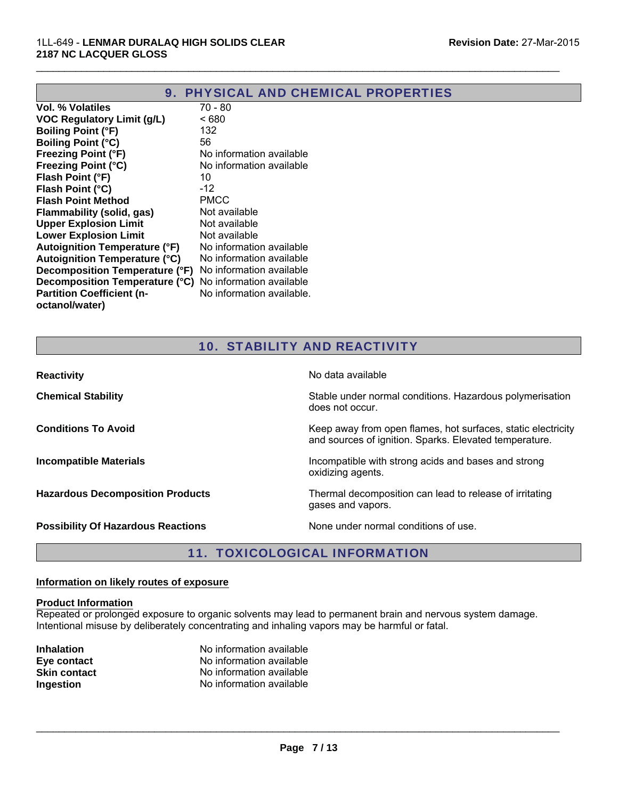| 9. PHYSICAL AND CHEMICAL PROPERTIES                            |                           |  |
|----------------------------------------------------------------|---------------------------|--|
| Vol. % Volatiles                                               | 70 - 80                   |  |
| <b>VOC Regulatory Limit (g/L)</b>                              | <680                      |  |
| <b>Boiling Point (°F)</b>                                      | 132                       |  |
| <b>Boiling Point (°C)</b>                                      | 56                        |  |
| <b>Freezing Point (°F)</b>                                     | No information available  |  |
| <b>Freezing Point (°C)</b>                                     | No information available  |  |
| Flash Point (°F)                                               | 10                        |  |
| Flash Point (°C)                                               | $-12$                     |  |
| <b>Flash Point Method</b>                                      | <b>PMCC</b>               |  |
| Flammability (solid, gas)                                      | Not available             |  |
| <b>Upper Explosion Limit</b>                                   | Not available             |  |
| <b>Lower Explosion Limit</b>                                   | Not available             |  |
| <b>Autoignition Temperature (°F)</b>                           | No information available  |  |
| <b>Autoignition Temperature (°C)</b>                           | No information available  |  |
| Decomposition Temperature (°F)                                 | No information available  |  |
| <b>Decomposition Temperature (°C)</b> No information available |                           |  |
| <b>Partition Coefficient (n-</b>                               | No information available. |  |
| octanol/water)                                                 |                           |  |
|                                                                |                           |  |

# 10. STABILITY AND REACTIVITY

| <b>Reactivity</b>                         | No data available                                                                                                      |
|-------------------------------------------|------------------------------------------------------------------------------------------------------------------------|
| <b>Chemical Stability</b>                 | Stable under normal conditions. Hazardous polymerisation<br>does not occur.                                            |
| <b>Conditions To Avoid</b>                | Keep away from open flames, hot surfaces, static electricity<br>and sources of ignition. Sparks. Elevated temperature. |
| <b>Incompatible Materials</b>             | Incompatible with strong acids and bases and strong<br>oxidizing agents.                                               |
| <b>Hazardous Decomposition Products</b>   | Thermal decomposition can lead to release of irritating<br>gases and vapors.                                           |
| <b>Possibility Of Hazardous Reactions</b> | None under normal conditions of use.                                                                                   |

# 11. TOXICOLOGICAL INFORMATION

#### **Information on likely routes of exposure**

#### **Product Information**

Repeated or prolonged exposure to organic solvents may lead to permanent brain and nervous system damage. Intentional misuse by deliberately concentrating and inhaling vapors may be harmful or fatal.

| <b>Inhalation</b>   | No information available |
|---------------------|--------------------------|
| Eye contact         | No information available |
| <b>Skin contact</b> | No information available |
| Ingestion           | No information available |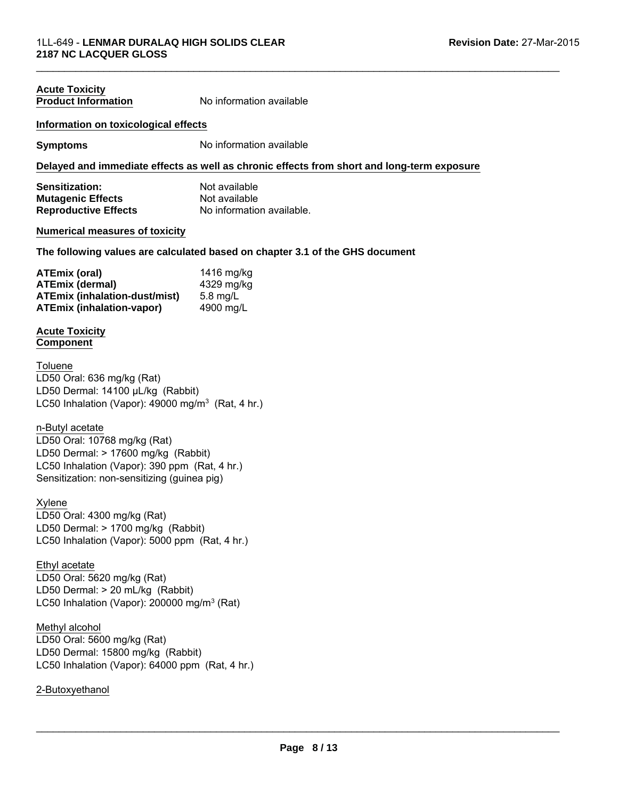# **Acute Toxicity**

**Product Information** No information available

 $\mathcal{L}_\mathcal{L} = \{ \mathcal{L}_\mathcal{L} = \{ \mathcal{L}_\mathcal{L} = \{ \mathcal{L}_\mathcal{L} = \{ \mathcal{L}_\mathcal{L} = \{ \mathcal{L}_\mathcal{L} = \{ \mathcal{L}_\mathcal{L} = \{ \mathcal{L}_\mathcal{L} = \{ \mathcal{L}_\mathcal{L} = \{ \mathcal{L}_\mathcal{L} = \{ \mathcal{L}_\mathcal{L} = \{ \mathcal{L}_\mathcal{L} = \{ \mathcal{L}_\mathcal{L} = \{ \mathcal{L}_\mathcal{L} = \{ \mathcal{L}_\mathcal{$ 

#### **Information on toxicological effects**

**Symptoms** No information available

#### **Delayed and immediate effects as well as chronic effects from short and long-term exposure**

| <b>Sensitization:</b>       | Not available             |
|-----------------------------|---------------------------|
| <b>Mutagenic Effects</b>    | Not available             |
| <b>Reproductive Effects</b> | No information available. |

#### **Numerical measures of toxicity**

**The following values are calculated based on chapter 3.1 of the GHS document**

| ATEmix (oral)                        | 1416 mg/kg |
|--------------------------------------|------------|
| <b>ATEmix (dermal)</b>               | 4329 mg/kg |
| <b>ATEmix (inhalation-dust/mist)</b> | $5.8$ mg/L |
| <b>ATEmix (inhalation-vapor)</b>     | 4900 mg/L  |

#### **Acute Toxicity Component**

LD50 Dermal: 14100 μL/kg (Rabbit) Toluene LC50 Inhalation (Vapor): 49000 mg/m $3$  (Rat, 4 hr.) LD50 Oral: 636 mg/kg (Rat)

n-Butyl acetate

LD50 Oral: 10768 mg/kg (Rat) LD50 Dermal: > 17600 mg/kg (Rabbit) LC50 Inhalation (Vapor): 390 ppm (Rat, 4 hr.) Sensitization: non-sensitizing (guinea pig)

#### Xylene

LD50 Oral: 4300 mg/kg (Rat) LD50 Dermal: > 1700 mg/kg (Rabbit) LC50 Inhalation (Vapor): 5000 ppm (Rat, 4 hr.)

Ethyl acetate LD50 Oral: 5620 mg/kg (Rat) LD50 Dermal: > 20 mL/kg (Rabbit) LC50 Inhalation (Vapor): 200000 mg/m<sup>3</sup> (Rat)

Methyl alcohol LD50 Oral: 5600 mg/kg (Rat) LD50 Dermal: 15800 mg/kg (Rabbit) LC50 Inhalation (Vapor): 64000 ppm (Rat, 4 hr.)

2-Butoxyethanol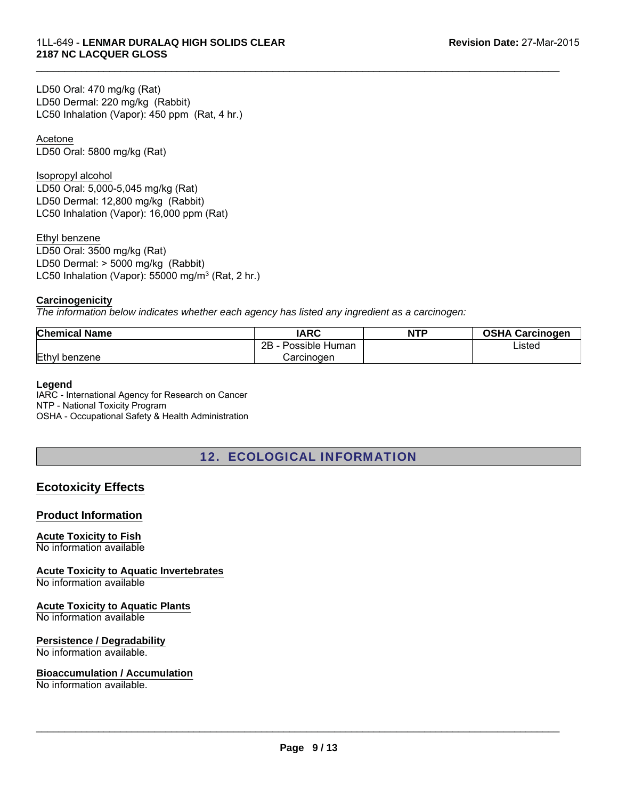LC50 Inhalation (Vapor): 450 ppm (Rat, 4 hr.) LD50 Oral: 470 mg/kg (Rat) LD50 Dermal: 220 mg/kg (Rabbit)

Acetone LD50 Oral: 5800 mg/kg (Rat)

Isopropyl alcohol

LD50 Oral: 5,000-5,045 mg/kg (Rat) LD50 Dermal: 12,800 mg/kg (Rabbit) LC50 Inhalation (Vapor): 16,000 ppm (Rat)

Ethyl benzene LD50 Oral: 3500 mg/kg (Rat) LD50 Dermal: > 5000 mg/kg (Rabbit)

LC50 Inhalation (Vapor): 55000 mg/m<sup>3</sup> (Rat, 2 hr.)

#### **Carcinogenicity**

*The information below indicates whether each agency has listed any ingredient as a carcinogen:*

| <b>Chemical Name</b> | IARC                       | <b>NTP</b> | <b>OSHA Carcinogen</b> |
|----------------------|----------------------------|------------|------------------------|
|                      | $2B -$<br>- Possible Human |            | _isted                 |
| Ethyl benzene        | Carcinogen                 |            |                        |

 $\mathcal{L}_\mathcal{L} = \{ \mathcal{L}_\mathcal{L} = \{ \mathcal{L}_\mathcal{L} = \{ \mathcal{L}_\mathcal{L} = \{ \mathcal{L}_\mathcal{L} = \{ \mathcal{L}_\mathcal{L} = \{ \mathcal{L}_\mathcal{L} = \{ \mathcal{L}_\mathcal{L} = \{ \mathcal{L}_\mathcal{L} = \{ \mathcal{L}_\mathcal{L} = \{ \mathcal{L}_\mathcal{L} = \{ \mathcal{L}_\mathcal{L} = \{ \mathcal{L}_\mathcal{L} = \{ \mathcal{L}_\mathcal{L} = \{ \mathcal{L}_\mathcal{$ 

#### **Legend**

IARC - International Agency for Research on Cancer NTP - National Toxicity Program OSHA - Occupational Safety & Health Administration

# 12. ECOLOGICAL INFORMATION

# **Ecotoxicity Effects**

#### **Product Information**

#### **Acute Toxicity to Fish**

No information available

**Acute Toxicity to Aquatic Invertebrates**

No information available

#### **Acute Toxicity to Aquatic Plants**

No information available

#### **Persistence / Degradability**

No information available.

#### **Bioaccumulation / Accumulation**

No information available.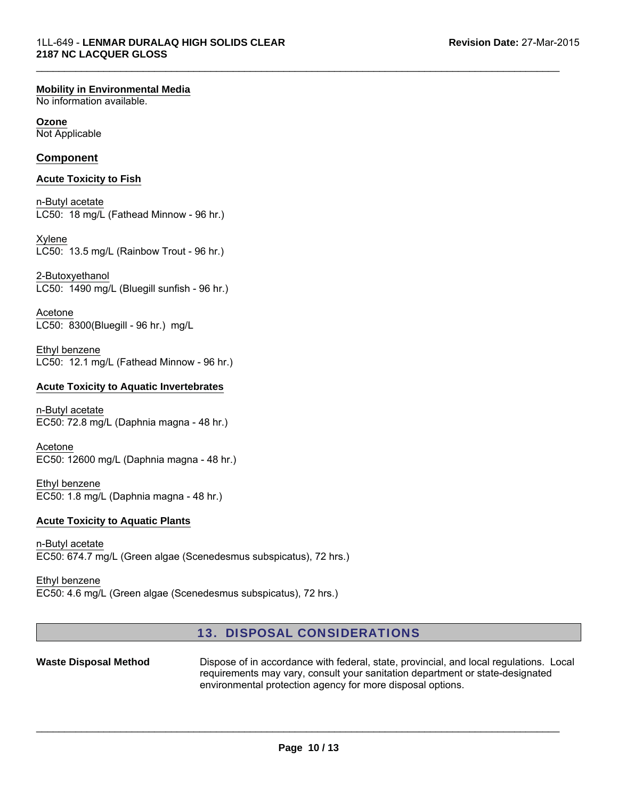#### **Mobility in Environmental Media**

No information available.

#### **Ozone**

Not Applicable

## **Component**

#### **Acute Toxicity to Fish**

n-Butyl acetate LC50: 18 mg/L (Fathead Minnow - 96 hr.)

LC50: 13.5 mg/L (Rainbow Trout - 96 hr.) Xylene

2-Butoxyethanol LC50: 1490 mg/L (Bluegill sunfish - 96 hr.)

Acetone LC50: 8300(Bluegill - 96 hr.) mg/L

Ethyl benzene LC50: 12.1 mg/L (Fathead Minnow - 96 hr.)

#### **Acute Toxicity to Aquatic Invertebrates**

n-Butyl acetate EC50: 72.8 mg/L (Daphnia magna - 48 hr.)

Acetone EC50: 12600 mg/L (Daphnia magna - 48 hr.)

Ethyl benzene EC50: 1.8 mg/L (Daphnia magna - 48 hr.)

#### **Acute Toxicity to Aquatic Plants**

n-Butyl acetate EC50: 674.7 mg/L (Green algae (Scenedesmus subspicatus), 72 hrs.)

Ethyl benzene EC50: 4.6 mg/L (Green algae (Scenedesmus subspicatus), 72 hrs.)

## 13. DISPOSAL CONSIDERATIONS

 $\mathcal{L}_\mathcal{L} = \{ \mathcal{L}_\mathcal{L} = \{ \mathcal{L}_\mathcal{L} = \{ \mathcal{L}_\mathcal{L} = \{ \mathcal{L}_\mathcal{L} = \{ \mathcal{L}_\mathcal{L} = \{ \mathcal{L}_\mathcal{L} = \{ \mathcal{L}_\mathcal{L} = \{ \mathcal{L}_\mathcal{L} = \{ \mathcal{L}_\mathcal{L} = \{ \mathcal{L}_\mathcal{L} = \{ \mathcal{L}_\mathcal{L} = \{ \mathcal{L}_\mathcal{L} = \{ \mathcal{L}_\mathcal{L} = \{ \mathcal{L}_\mathcal{$ 

Waste Disposal Method **Dispose of in accordance with federal, state, provincial, and local regulations. Local** requirements may vary, consult your sanitation department or state-designated environmental protection agency for more disposal options.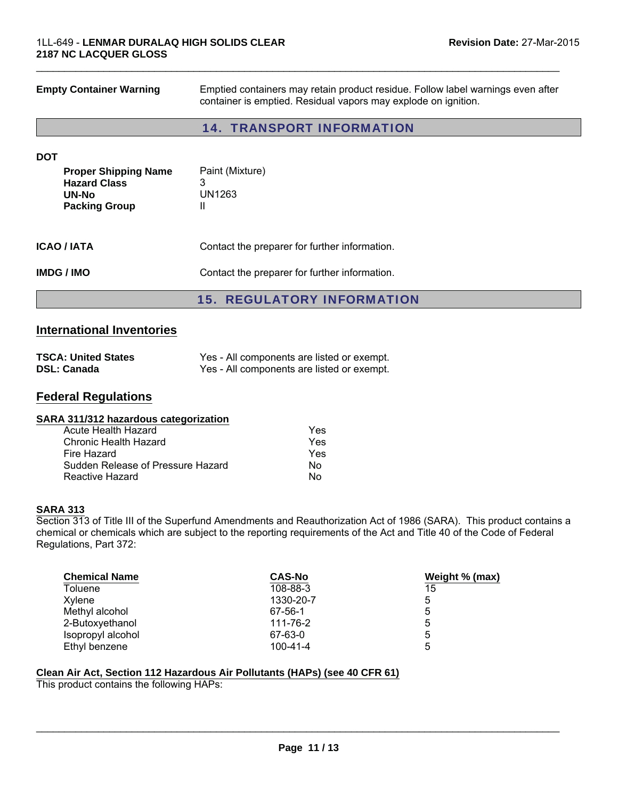| <b>Empty Container Warning</b>                                                      | Emptied containers may retain product residue. Follow label warnings even after<br>container is emptied. Residual vapors may explode on ignition. |  |
|-------------------------------------------------------------------------------------|---------------------------------------------------------------------------------------------------------------------------------------------------|--|
|                                                                                     | <b>14. TRANSPORT INFORMATION</b>                                                                                                                  |  |
| <b>DOT</b>                                                                          |                                                                                                                                                   |  |
| <b>Proper Shipping Name</b><br><b>Hazard Class</b><br>UN-No<br><b>Packing Group</b> | Paint (Mixture)<br>3<br>UN1263<br>Ш                                                                                                               |  |
| <b>ICAO / IATA</b>                                                                  | Contact the preparer for further information.                                                                                                     |  |
| <b>IMDG/IMO</b>                                                                     | Contact the preparer for further information.                                                                                                     |  |
|                                                                                     | <b>15. REGULATORY INFORMATION</b>                                                                                                                 |  |

# **International Inventories**

| <b>TSCA: United States</b> | Yes - All components are listed or exempt. |
|----------------------------|--------------------------------------------|
| <b>DSL: Canada</b>         | Yes - All components are listed or exempt. |

# **Federal Regulations**

#### **SARA 311/312 hazardous categorization**

| Acute Health Hazard               | Yes |
|-----------------------------------|-----|
| Chronic Health Hazard             | Yes |
| Fire Hazard                       | Yes |
| Sudden Release of Pressure Hazard | N٥  |
| Reactive Hazard                   | N٥  |

#### **SARA 313**

Section 313 of Title III of the Superfund Amendments and Reauthorization Act of 1986 (SARA). This product contains a chemical or chemicals which are subject to the reporting requirements of the Act and Title 40 of the Code of Federal Regulations, Part 372:

| <b>Chemical Name</b> | <b>CAS-No</b>  | Weight % (max) |
|----------------------|----------------|----------------|
| Toluene              | 108-88-3       | 15             |
| Xylene               | 1330-20-7      | 5              |
| Methyl alcohol       | 67-56-1        | 5              |
| 2-Butoxyethanol      | 111-76-2       | 5              |
| Isopropyl alcohol    | 67-63-0        | 5              |
| Ethyl benzene        | $100 - 41 - 4$ | 5              |

#### **Clean Air Act, Section 112 Hazardous Air Pollutants (HAPs) (see 40 CFR 61)**

This product contains the following HAPs: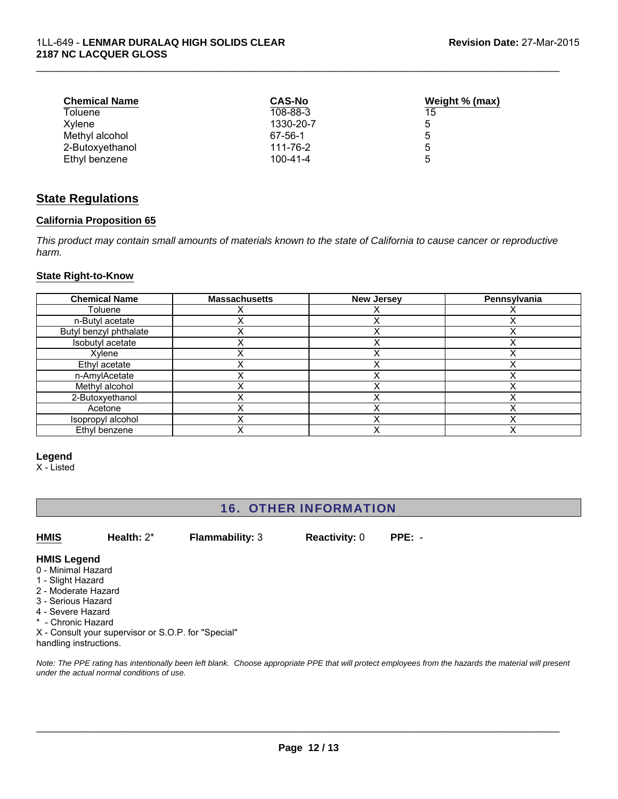| <b>Chemical Name</b> | <b>CAS-No</b>  | Weight % (max) |
|----------------------|----------------|----------------|
| Toluene              | 108-88-3       | 15             |
| Xylene               | 1330-20-7      | 5              |
| Methyl alcohol       | 67-56-1        | 5              |
| 2-Butoxyethanol      | 111-76-2       | 5              |
| Ethyl benzene        | $100 - 41 - 4$ | 5              |

## **State Regulations**

#### **California Proposition 65**

*This product may contain small amounts of materials known to the state of California to cause cancer or reproductive harm.*

#### **State Right-to-Know**

| <b>Chemical Name</b>   | <b>Massachusetts</b> | <b>New Jersey</b> | Pennsylvania |
|------------------------|----------------------|-------------------|--------------|
| Toluene                |                      |                   |              |
| n-Butyl acetate        |                      |                   |              |
| Butyl benzyl phthalate |                      |                   |              |
| Isobutyl acetate       |                      |                   |              |
| Xylene                 |                      |                   |              |
| Ethyl acetate          |                      |                   |              |
| n-AmylAcetate          |                      |                   |              |
| Methyl alcohol         |                      |                   |              |
| 2-Butoxyethanol        |                      |                   |              |
| Acetone                |                      |                   |              |
| Isopropyl alcohol      |                      |                   |              |
| Ethyl benzene          |                      |                   |              |

#### **Legend**

X - Listed

# 16. OTHER INFORMATION

**HMIS Health:** 2\* **Flammability:** 3 **Reactivity:** 0 **PPE:** -

#### **HMIS Legend** 0 - Minimal Hazard

- 1 Slight Hazard
- 2 Moderate Hazard
- 3 Serious Hazard
- 4 Severe Hazard
- \* Chronic Hazard

X - Consult your supervisor or S.O.P. for "Special" handling instructions.

*Note: The PPE rating has intentionally been left blank. Choose appropriate PPE that will protect employees from the hazards the material will present under the actual normal conditions of use.*